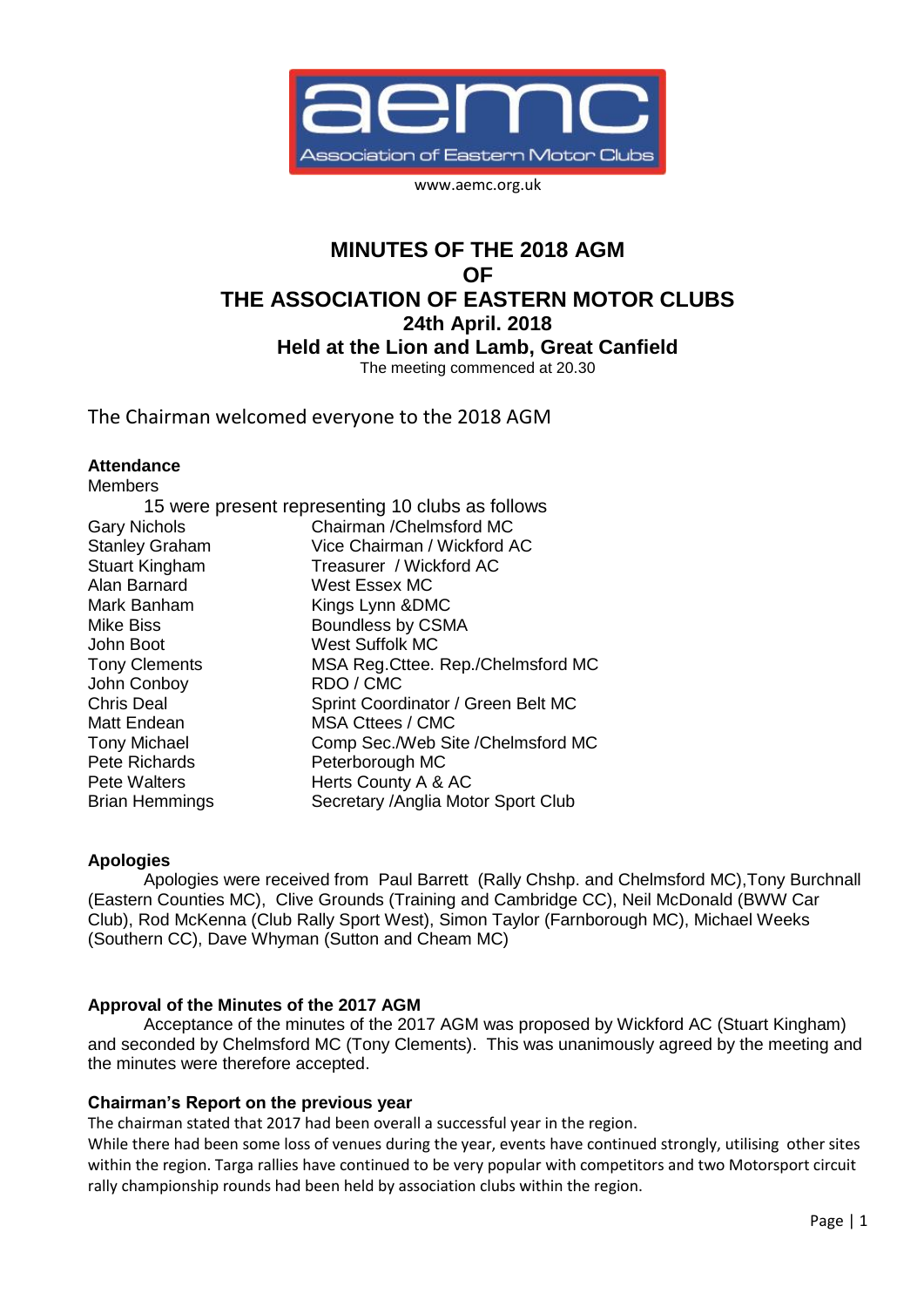

www.aemc.org.uk

# **MINUTES OF THE 2018 AGM OF THE ASSOCIATION OF EASTERN MOTOR CLUBS 24th April. 2018 Held at the Lion and Lamb, Great Canfield** The meeting commenced at 20.30

The Chairman welcomed everyone to the 2018 AGM

#### **Attendance** Members<br>Memberskap

| <b>Members</b>        |                                                  |
|-----------------------|--------------------------------------------------|
|                       | 15 were present representing 10 clubs as follows |
| <b>Gary Nichols</b>   | Chairman / Chelmsford MC                         |
| <b>Stanley Graham</b> | Vice Chairman / Wickford AC                      |
| <b>Stuart Kingham</b> | Treasurer / Wickford AC                          |
| Alan Barnard          | West Essex MC                                    |
| Mark Banham           | Kings Lynn & DMC                                 |
| <b>Mike Biss</b>      | Boundless by CSMA                                |
| John Boot             | <b>West Suffolk MC</b>                           |
| <b>Tony Clements</b>  | MSA Reg. Cttee. Rep./Chelmsford MC               |
| John Conboy           | RDO / CMC                                        |
| <b>Chris Deal</b>     | Sprint Coordinator / Green Belt MC               |
| Matt Endean           | <b>MSA Cttees / CMC</b>                          |
| <b>Tony Michael</b>   | Comp Sec./Web Site /Chelmsford MC                |
| Pete Richards         | Peterborough MC                                  |
| <b>Pete Walters</b>   | Herts County A & AC                              |
| <b>Brian Hemmings</b> | Secretary / Anglia Motor Sport Club              |
|                       |                                                  |

## **Apologies**

Apologies were received from Paul Barrett (Rally Chshp. and Chelmsford MC),Tony Burchnall (Eastern Counties MC), Clive Grounds (Training and Cambridge CC), Neil McDonald (BWW Car Club), Rod McKenna (Club Rally Sport West), Simon Taylor (Farnborough MC), Michael Weeks (Southern CC), Dave Whyman (Sutton and Cheam MC)

## **Approval of the Minutes of the 2017 AGM**

Acceptance of the minutes of the 2017 AGM was proposed by Wickford AC (Stuart Kingham) and seconded by Chelmsford MC (Tony Clements). This was unanimously agreed by the meeting and the minutes were therefore accepted.

## **Chairman's Report on the previous year**

The chairman stated that 2017 had been overall a successful year in the region.

While there had been some loss of venues during the year, events have continued strongly, utilising other sites within the region. Targa rallies have continued to be very popular with competitors and two Motorsport circuit rally championship rounds had been held by association clubs within the region.